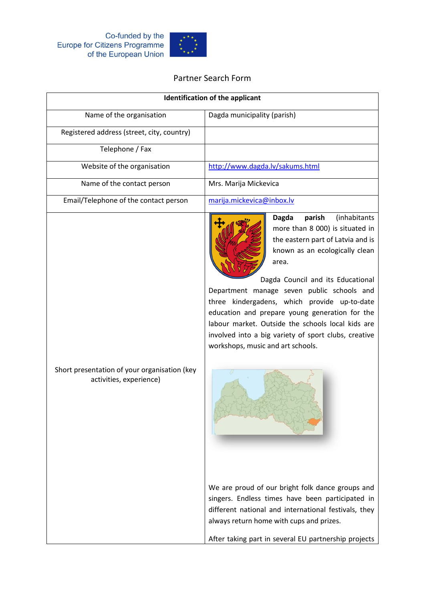

## Partner Search Form

| <b>Identification of the applicant</b>                                  |                                                                                                                                                                                                                                                                                                                                                                                                                                                                                                  |
|-------------------------------------------------------------------------|--------------------------------------------------------------------------------------------------------------------------------------------------------------------------------------------------------------------------------------------------------------------------------------------------------------------------------------------------------------------------------------------------------------------------------------------------------------------------------------------------|
| Name of the organisation                                                | Dagda municipality (parish)                                                                                                                                                                                                                                                                                                                                                                                                                                                                      |
| Registered address (street, city, country)                              |                                                                                                                                                                                                                                                                                                                                                                                                                                                                                                  |
| Telephone / Fax                                                         |                                                                                                                                                                                                                                                                                                                                                                                                                                                                                                  |
| Website of the organisation                                             | http://www.dagda.lv/sakums.html                                                                                                                                                                                                                                                                                                                                                                                                                                                                  |
| Name of the contact person                                              | Mrs. Marija Mickevica                                                                                                                                                                                                                                                                                                                                                                                                                                                                            |
| Email/Telephone of the contact person                                   | marija.mickevica@inbox.lv                                                                                                                                                                                                                                                                                                                                                                                                                                                                        |
|                                                                         | parish<br>(inhabitants<br><b>Dagda</b><br>more than 8 000) is situated in<br>the eastern part of Latvia and is<br>known as an ecologically clean<br>area.<br>Dagda Council and its Educational<br>Department manage seven public schools and<br>three kindergadens, which provide up-to-date<br>education and prepare young generation for the<br>labour market. Outside the schools local kids are<br>involved into a big variety of sport clubs, creative<br>workshops, music and art schools. |
| Short presentation of your organisation (key<br>activities, experience) | We are proud of our bright folk dance groups and<br>singers. Endless times have been participated in<br>different national and international festivals, they<br>always return home with cups and prizes.<br>After taking part in several EU partnership projects                                                                                                                                                                                                                                 |